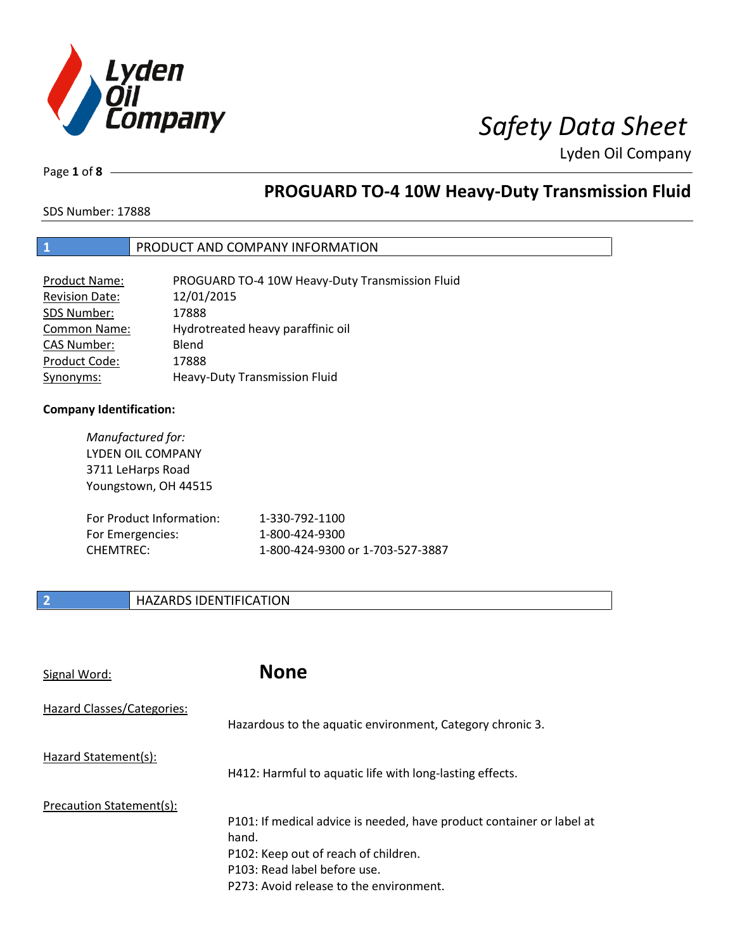

Page **1** of **8**

# **PROGUARD TO-4 10W Heavy-Duty Transmission Fluid**

SDS Number: 17888

### **1** PRODUCT AND COMPANY INFORMATION

| Product Name:         | PROGUARD TO-4 10W Heavy-Duty Transmission Fluid |
|-----------------------|-------------------------------------------------|
| <b>Revision Date:</b> | 12/01/2015                                      |
| SDS Number:           | 17888                                           |
| <b>Common Name:</b>   | Hydrotreated heavy paraffinic oil               |
| <b>CAS Number:</b>    | Blend                                           |
| Product Code:         | 17888                                           |
| Synonyms:             | Heavy-Duty Transmission Fluid                   |

### **Company Identification:**

| Manufactured for:<br><b>LYDEN OIL COMPANY</b><br>3711 LeHarps Road<br>Youngstown, OH 44515 |                                  |
|--------------------------------------------------------------------------------------------|----------------------------------|
| For Product Information:                                                                   | 1-330-792-1100                   |
| For Emergencies:                                                                           | 1-800-424-9300                   |
| CHFMTRFC:                                                                                  | 1-800-424-9300 or 1-703-527-3887 |

### **2 HAZARDS IDENTIFICATION**

| Signal Word:               | <b>None</b>                                                                                                                                                                                       |
|----------------------------|---------------------------------------------------------------------------------------------------------------------------------------------------------------------------------------------------|
| Hazard Classes/Categories: | Hazardous to the aquatic environment, Category chronic 3.                                                                                                                                         |
| Hazard Statement(s):       | H412: Harmful to aquatic life with long-lasting effects.                                                                                                                                          |
| Precaution Statement(s):   | P101: If medical advice is needed, have product container or label at<br>hand.<br>P102: Keep out of reach of children.<br>P103: Read label before use.<br>P273: Avoid release to the environment. |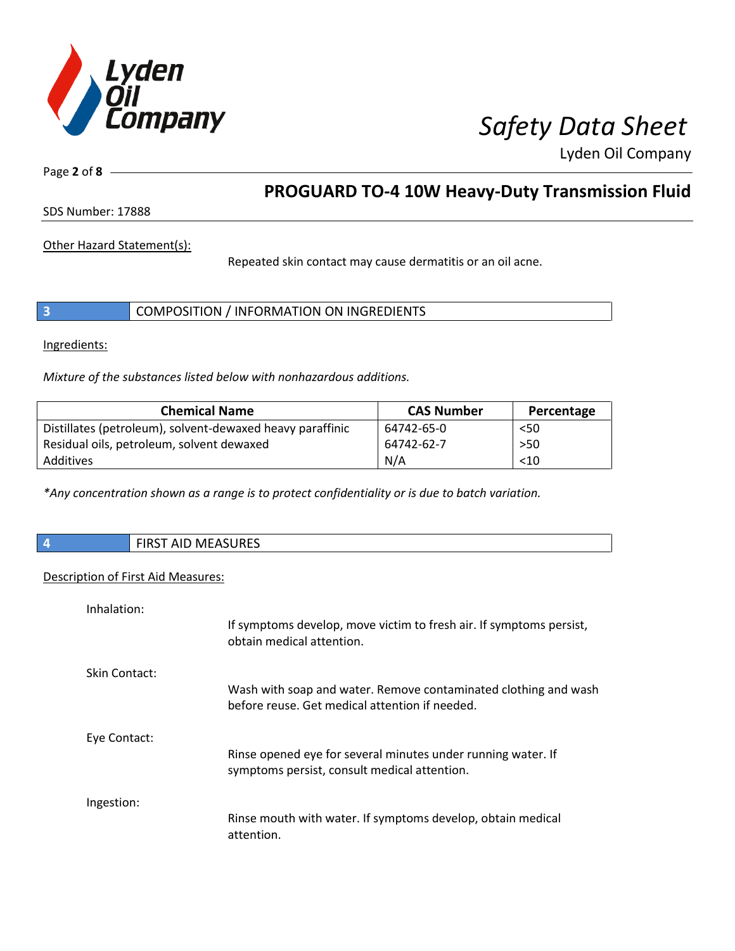

Page **2** of **8**

## **PROGUARD TO-4 10W Heavy-Duty Transmission Fluid**

SDS Number: 17888

Other Hazard Statement(s):

Repeated skin contact may cause dermatitis or an oil acne.

|  | COMPOSITION / INFORMATION ON INGREDIENTS |  |
|--|------------------------------------------|--|
|--|------------------------------------------|--|

Ingredients:

*Mixture of the substances listed below with nonhazardous additions.*

| <b>Chemical Name</b>                                      | <b>CAS Number</b> | Percentage |
|-----------------------------------------------------------|-------------------|------------|
| Distillates (petroleum), solvent-dewaxed heavy paraffinic | 64742-65-0        | $50$       |
| Residual oils, petroleum, solvent dewaxed                 | 64742-62-7        | $>50$      |
| Additives                                                 | N/A               | < 10       |

*\*Any concentration shown as a range is to protect confidentiality or is due to batch variation.*

| <b>FIRST AID MEASURES</b> |
|---------------------------|
|                           |

### Description of First Aid Measures:

| Inhalation:   |                                                                                                                   |
|---------------|-------------------------------------------------------------------------------------------------------------------|
|               | If symptoms develop, move victim to fresh air. If symptoms persist,<br>obtain medical attention.                  |
| Skin Contact: |                                                                                                                   |
|               | Wash with soap and water. Remove contaminated clothing and wash<br>before reuse. Get medical attention if needed. |
| Eye Contact:  |                                                                                                                   |
|               | Rinse opened eye for several minutes under running water. If<br>symptoms persist, consult medical attention.      |
| Ingestion:    |                                                                                                                   |
|               | Rinse mouth with water. If symptoms develop, obtain medical<br>attention.                                         |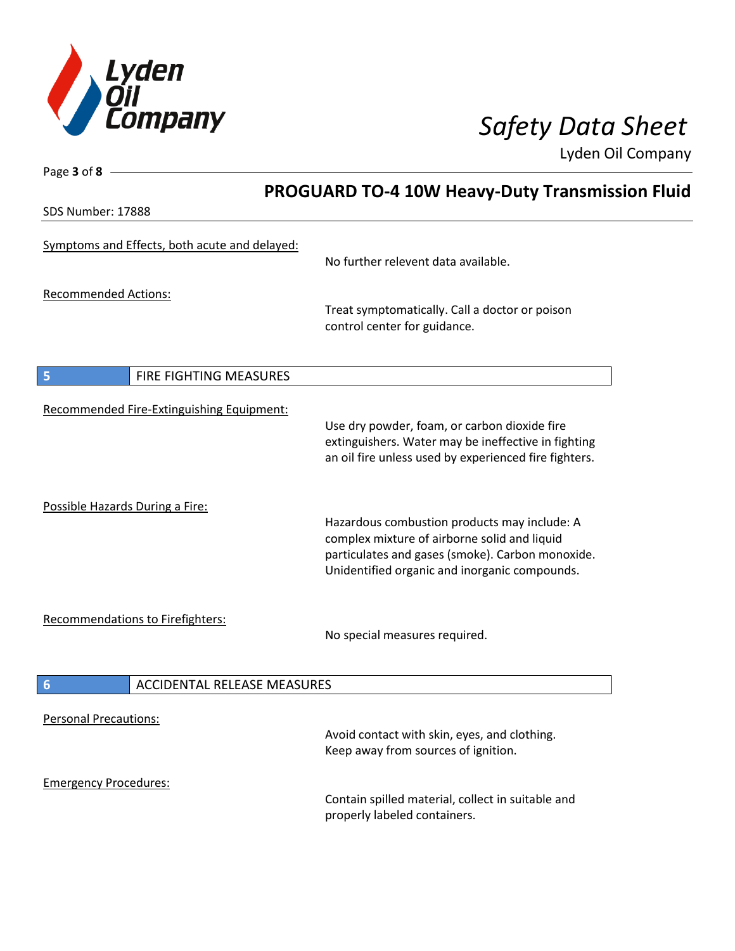

Page **3** of **8**

Lyden Oil Company

|                                                       | <b>PROGUARD TO-4 10W Heavy-Duty Transmission Fluid</b>                                                                                                                                            |  |
|-------------------------------------------------------|---------------------------------------------------------------------------------------------------------------------------------------------------------------------------------------------------|--|
| SDS Number: 17888                                     |                                                                                                                                                                                                   |  |
| Symptoms and Effects, both acute and delayed:         | No further relevent data available.                                                                                                                                                               |  |
| <b>Recommended Actions:</b>                           | Treat symptomatically. Call a doctor or poison<br>control center for guidance.                                                                                                                    |  |
| 5<br>FIRE FIGHTING MEASURES                           |                                                                                                                                                                                                   |  |
| Recommended Fire-Extinguishing Equipment:             | Use dry powder, foam, or carbon dioxide fire<br>extinguishers. Water may be ineffective in fighting<br>an oil fire unless used by experienced fire fighters.                                      |  |
| Possible Hazards During a Fire:                       | Hazardous combustion products may include: A<br>complex mixture of airborne solid and liquid<br>particulates and gases (smoke). Carbon monoxide.<br>Unidentified organic and inorganic compounds. |  |
| <b>Recommendations to Firefighters:</b>               | No special measures required.                                                                                                                                                                     |  |
| $6\phantom{1}6$<br><b>ACCIDENTAL RELEASE MEASURES</b> |                                                                                                                                                                                                   |  |
| <b>Personal Precautions:</b>                          | Avoid contact with skin, eyes, and clothing.<br>Keep away from sources of ignition.                                                                                                               |  |
| <b>Emergency Procedures:</b>                          | Contain spilled material, collect in suitable and<br>properly labeled containers.                                                                                                                 |  |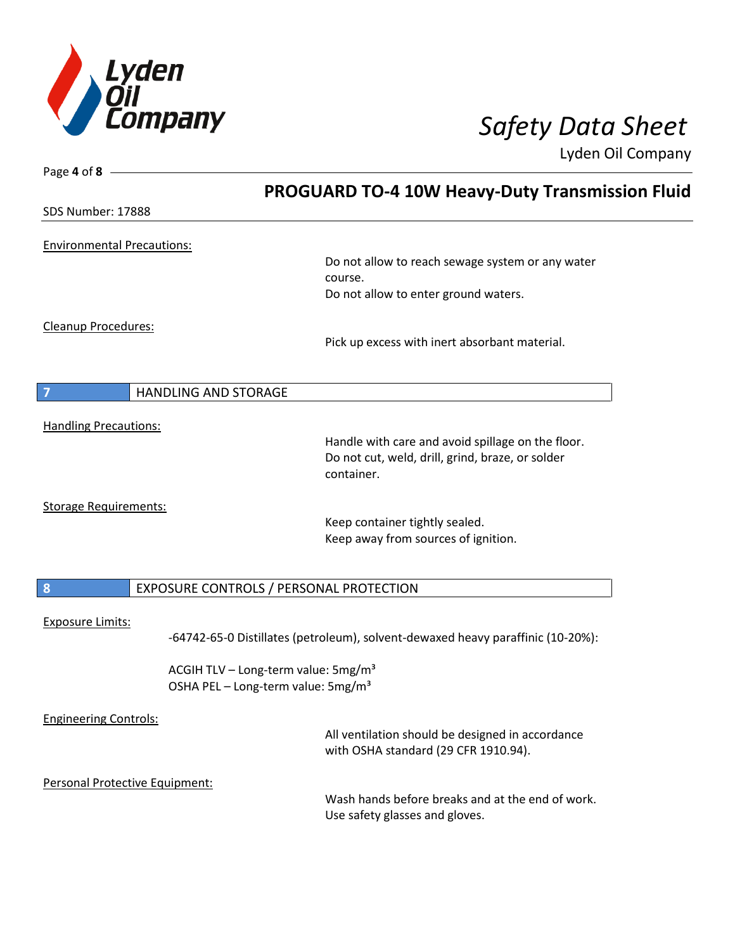

| Page 4 of 8                       |                                                                                          |
|-----------------------------------|------------------------------------------------------------------------------------------|
|                                   | <b>PROGUARD TO-4 10W Heavy-Duty Transmission Fluid</b>                                   |
| <b>SDS Number: 17888</b>          |                                                                                          |
| <b>Environmental Precautions:</b> |                                                                                          |
|                                   | Do not allow to reach sewage system or any water                                         |
|                                   | course.<br>Do not allow to enter ground waters.                                          |
|                                   |                                                                                          |
| <b>Cleanup Procedures:</b>        |                                                                                          |
|                                   | Pick up excess with inert absorbant material.                                            |
|                                   |                                                                                          |
| <b>HANDLING AND STORAGE</b><br>7  |                                                                                          |
| <b>Handling Precautions:</b>      |                                                                                          |
|                                   | Handle with care and avoid spillage on the floor.                                        |
|                                   | Do not cut, weld, drill, grind, braze, or solder<br>container.                           |
|                                   |                                                                                          |
| <b>Storage Requirements:</b>      | Keep container tightly sealed.                                                           |
|                                   | Keep away from sources of ignition.                                                      |
|                                   |                                                                                          |
| $\boldsymbol{8}$                  | EXPOSURE CONTROLS / PERSONAL PROTECTION                                                  |
| <b>Exposure Limits:</b>           |                                                                                          |
|                                   | -64742-65-0 Distillates (petroleum), solvent-dewaxed heavy paraffinic (10-20%):          |
|                                   | ACGIH TLV - Long-term value: 5mg/m <sup>3</sup>                                          |
|                                   | OSHA PEL - Long-term value: 5mg/m <sup>3</sup>                                           |
| <b>Engineering Controls:</b>      |                                                                                          |
|                                   | All ventilation should be designed in accordance<br>with OSHA standard (29 CFR 1910.94). |
| Personal Protective Equipment:    |                                                                                          |
|                                   | Wash hands before breaks and at the end of work.                                         |
|                                   | Use safety glasses and gloves.                                                           |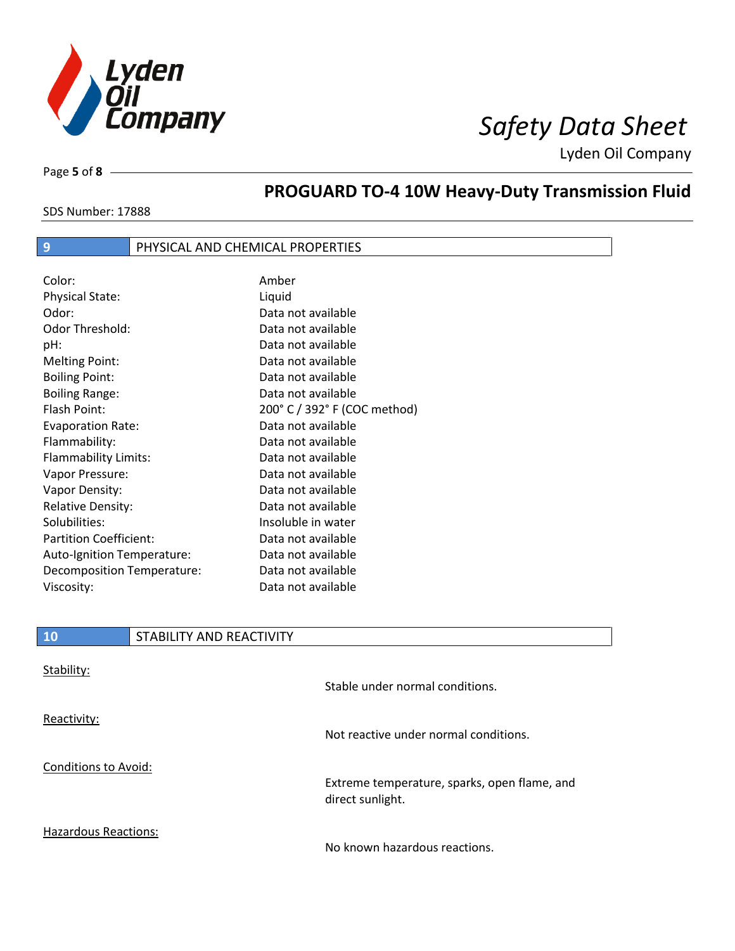

Page **5** of **8**

# **PROGUARD TO-4 10W Heavy-Duty Transmission Fluid**

SDS Number: 17888

### **9 PHYSICAL AND CHEMICAL PROPERTIES**

| Color:                        | Amber                        |
|-------------------------------|------------------------------|
| <b>Physical State:</b>        | Liquid                       |
| Odor:                         | Data not available           |
| Odor Threshold:               | Data not available           |
| pH:                           | Data not available           |
| <b>Melting Point:</b>         | Data not available           |
| <b>Boiling Point:</b>         | Data not available           |
| <b>Boiling Range:</b>         | Data not available           |
| Flash Point:                  | 200° C / 392° F (COC method) |
| <b>Evaporation Rate:</b>      | Data not available           |
| Flammability:                 | Data not available           |
| Flammability Limits:          | Data not available           |
| Vapor Pressure:               | Data not available           |
| Vapor Density:                | Data not available           |
| <b>Relative Density:</b>      | Data not available           |
| Solubilities:                 | Insoluble in water           |
| <b>Partition Coefficient:</b> | Data not available           |
| Auto-Ignition Temperature:    | Data not available           |
| Decomposition Temperature:    | Data not available           |
| Viscosity:                    | Data not available           |

| 10                          | STABILITY AND REACTIVITY |                                              |
|-----------------------------|--------------------------|----------------------------------------------|
| Stability:                  |                          | Stable under normal conditions.              |
| Reactivity:                 |                          | Not reactive under normal conditions.        |
| <b>Conditions to Avoid:</b> |                          | Extreme temperature, sparks, open flame, and |

Hazardous Reactions:

Г

No known hazardous reactions.

direct sunlight.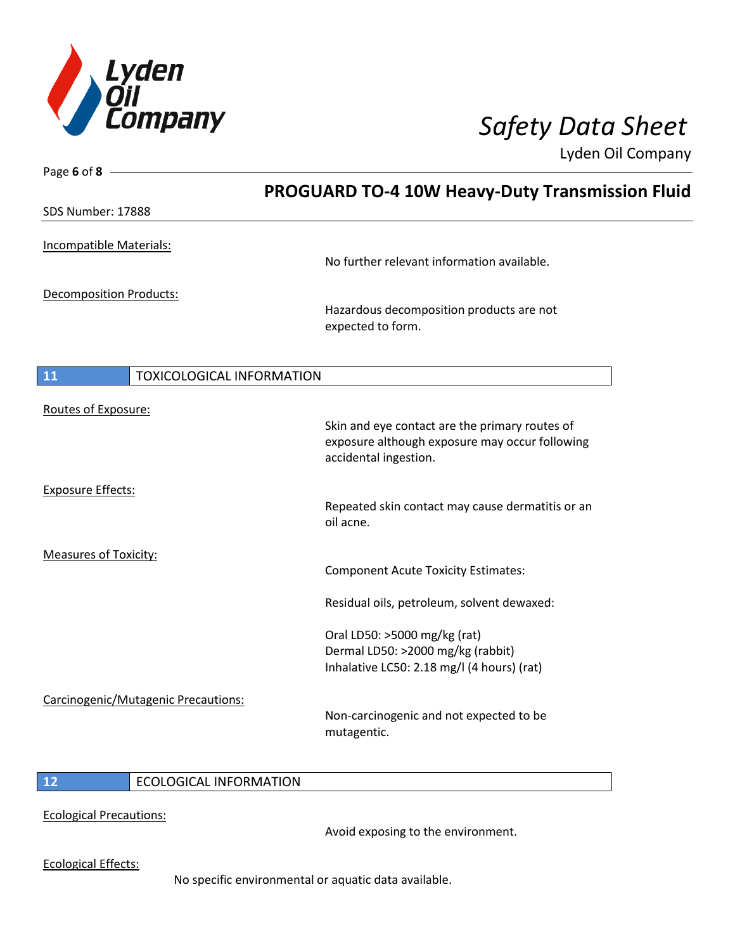

Page **6** of **8**

Lyden Oil Company

|                                        | <b>PROGUARD TO-4 10W Heavy-Duty Transmission Fluid</b>                                                                    |
|----------------------------------------|---------------------------------------------------------------------------------------------------------------------------|
| SDS Number: 17888                      |                                                                                                                           |
| Incompatible Materials:                | No further relevant information available.                                                                                |
| <b>Decomposition Products:</b>         | Hazardous decomposition products are not<br>expected to form.                                                             |
| 11<br><b>TOXICOLOGICAL INFORMATION</b> |                                                                                                                           |
| Routes of Exposure:                    | Skin and eye contact are the primary routes of<br>exposure although exposure may occur following<br>accidental ingestion. |
| <b>Exposure Effects:</b>               | Repeated skin contact may cause dermatitis or an<br>oil acne.                                                             |
| <b>Measures of Toxicity:</b>           | <b>Component Acute Toxicity Estimates:</b>                                                                                |
|                                        | Residual oils, petroleum, solvent dewaxed:                                                                                |
|                                        | Oral LD50: >5000 mg/kg (rat)<br>Dermal LD50: >2000 mg/kg (rabbit)<br>Inhalative LC50: 2.18 mg/l (4 hours) (rat)           |
| Carcinogenic/Mutagenic Precautions:    | Non-carcinogenic and not expected to be<br>mutagentic.                                                                    |
|                                        |                                                                                                                           |

### **12** ECOLOGICAL INFORMATION

Ecological Precautions:

Avoid exposing to the environment.

Ecological Effects:

No specific environmental or aquatic data available.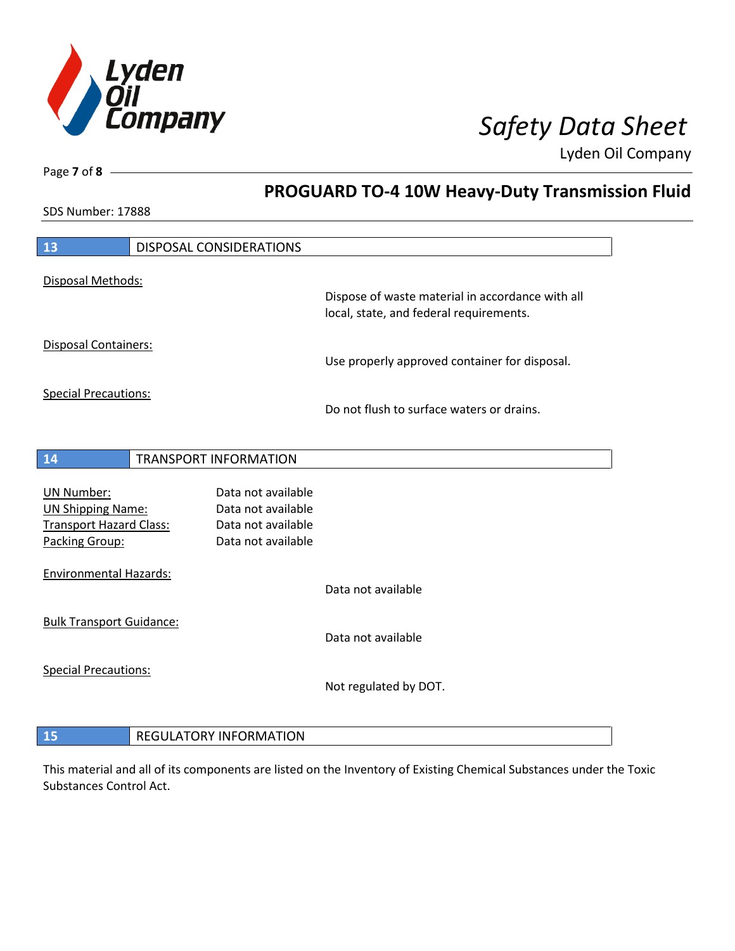

**PROGUARD TO-4 10W Heavy-Duty Transmission Fluid**

Lyden Oil Company

SDS Number: 17888

Page **7** of **8**

| 13                                                                                                | DISPOSAL CONSIDERATIONS                                                              |                                                                                             |
|---------------------------------------------------------------------------------------------------|--------------------------------------------------------------------------------------|---------------------------------------------------------------------------------------------|
| Disposal Methods:                                                                                 |                                                                                      | Dispose of waste material in accordance with all<br>local, state, and federal requirements. |
| <b>Disposal Containers:</b>                                                                       |                                                                                      |                                                                                             |
|                                                                                                   |                                                                                      | Use properly approved container for disposal.                                               |
| <b>Special Precautions:</b>                                                                       |                                                                                      | Do not flush to surface waters or drains.                                                   |
| 14                                                                                                | <b>TRANSPORT INFORMATION</b>                                                         |                                                                                             |
| <b>UN Number:</b><br><b>UN Shipping Name:</b><br><b>Transport Hazard Class:</b><br>Packing Group: | Data not available<br>Data not available<br>Data not available<br>Data not available |                                                                                             |
| <b>Environmental Hazards:</b>                                                                     |                                                                                      | Data not available                                                                          |
| <b>Bulk Transport Guidance:</b>                                                                   |                                                                                      | Data not available                                                                          |
| <b>Special Precautions:</b>                                                                       |                                                                                      | Not regulated by DOT.                                                                       |
| 15                                                                                                | <b>REGULATORY INFORMATION</b>                                                        |                                                                                             |

This material and all of its components are listed on the Inventory of Existing Chemical Substances under the Toxic Substances Control Act.